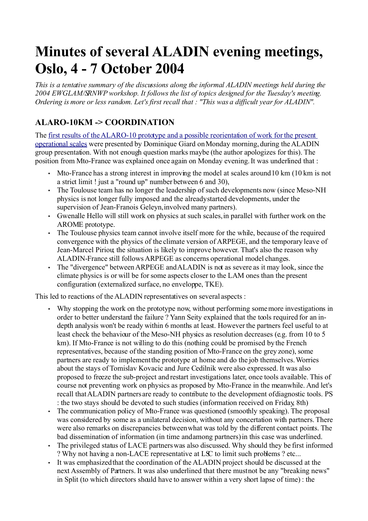# **Minutes of several ALADIN evening meetings, Oslo, 4 - 7 October 2004**

*This is a tentative summary of the discussions along the informal ALADIN meetings held during the 2004 EWGLAM/SRNWP workshop. It follows the list of topics designed for the Tuesday's meeting. Ordering is more or less random. Let's first recall that : "This was a difficult year for ALADIN".*

## **ALARO-10KM -> COORDINATION**

The [first results of the ALARO-10 prototype and a possible reorientation of work for the present](file:///var/www/html/aladin/sxcoope1/aladin/meetings/dg20040ct.pdf) [operational scales](file:///var/www/html/aladin/sxcoope1/aladin/meetings/dg20040ct.pdf) were presented by Dominique Giard on Monday morning, during the ALADIN group presentation. With not enough question marks maybe (the author apologizes for this). The position from Mto-France was explained once again on Monday evening. It was underlined that :

- Mto-France has a strong interest in improving the model at scales around 10 km (10 km is not a strict limit ! just a "round up" number between 6 and 30),
- The Toulouse team has no longer the leadership of such developments now (since Meso-NH physics is not longer fully imposed and the already started developments, under the supervision of Jean-Franois Geleyn, involved many partners).
- Gwenalle Hello will still work on physics at such scales, in parallel with further work on the AROME prototype.
- The Toulouse physics team cannot involve itself more for the while, because of the required convergence with the physics of the climate version of ARPEGE, and the temporary leave of Jean-Marcel Piriou; the situation is likely to improve however. That's also the reason why ALADIN-France still follows ARPEGE as concerns operational model changes.
- The "divergence" between ARPEGE and ALADIN is not as severe as it may look, since the climate physics is or will be for some aspects closer to the LAM ones than the present configuration (externalized surface, no enveloppe, TKE).

This led to reactions of the ALADIN representatives on several aspects :

- Why stopping the work on the prototype now, without performing some more investigations in order to better understand the failure ? Yann Seity explained that the tools required for an indepth analysis won't be ready within 6 months at least. However the partners feel useful to at least check the behaviour of the Meso-NH physics as resolution decreases (e.g. from 10 to 5 km). If Mto-France is not willing to do this (nothing could be promised by the French representatives, because of the standing position of Mto-France on the grey zone), some partners are ready to implement the prototype at home and do the job themselves. Worries about the stays of Tomislav Kovacic and Jure Cedilnik were also expressed. It was also proposed to freeze the sub-project and restart investigations later, once tools available. This of course not preventing work on physics as proposed by Mto-France in the meanwhile. And let's recall that ALADIN partners are ready to contribute to the development of diagnostic tools. PS : the two stays should be devoted to such studies (information received on Friday, 8th)
- The communication policy of Mto-France was questioned (smoothly speaking). The proposal was considered by some as a unilateral decision, without any concertation with partners. There were also remarks on discrepancies between what was told by the different contact points. The bad dissemination of information (in time and among partners) in this case was underlined.
- The privileged status of LACE partners was also discussed. Why should they be first informed ? Why not having a non-LACE representative at LSC to limit such problems ? etc...
- It was emphasized that the coordination of the ALADIN project should be discussed at the next Assembly of Partners. It was also underlined that there must not be any "breaking news" in Split (to which directors should have to answer within a very short lapse of time) : the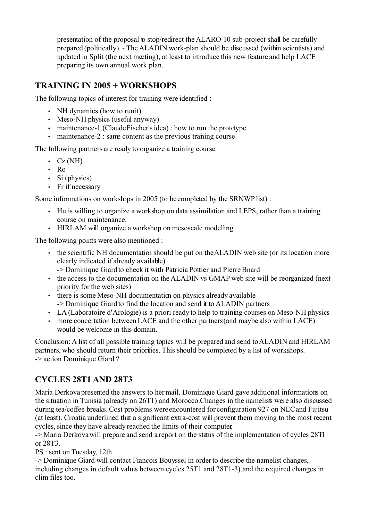presentation of the proposal to stop/redirect the ALARO-10 sub-project shall be carefully prepared (politically). - The ALADIN work-plan should be discussed (within scientists) and updated in Split (the next meeting), at least to introduce this new feature and help LACE preparing its own annual work plan.

#### **TRAINING IN 2005 + WORKSHOPS**

The following topics of interest for training were identified :

- NH dynamics (how to runit)
- Meso-NH physics (useful anyway)
- maintenance-1 (Claude Fischer's idea) : how to run the prototype
- $\cdot$  maintenance-2 : same content as the previous training course

The following partners are ready to organize a training course:

- $\cdot$  Cz (NH)
- Ro
- Si (physics)
- Fr if necessary

Some informations on workshops in 2005 (to be completed by the SRNWP list) :

- Hu is willing to organize a workshop on data assimilation and LEPS, rather than a training course on maintenance.
- HIRLAM will organize a workshop on mesoscale modelling

The following points were also mentioned :

- the scientific NH documentation should be put on the ALADIN web site (or its location more clearly indicated if already available)
- -> Dominique Giard to check it with Patricia Pottier and Pierre Bnard
- the access to the documentation on the ALADIN vs GMAP web site will be reorganized (next priority for the web sites)
- there is some Meso-NH documentation on physics already available -> Dominique Giard to find the location and send it to ALADIN partners
- LA (Laboratoire d'Arologie) is a priori ready to help to training courses on Meso-NH physics
- more concertation between LACE and the other partners (and maybe also within LACE) would be welcome in this domain.

Conclusion: A list of all possible training topics will be prepared and send to ALADIN and HIRLAM partners, who should return their priorities. This should be completed by a list of workshops. -> action Dominique Giard ?

#### **CYCLES 28T1 AND 28T3**

Maria Derkova presented the answers to her mail. Dominique Giard gave additional informations on the situation in Tunisia (already on 26T1) and Morocco. Changes in the namelists were also discussed during tea/coffee breaks. Cost problems were encountered for configuration 927 on NEC and Fujitsu (at least). Croatia underlined that a significant extra-cost will prevent them moving to the most recent cycles, since they have already reached the limits of their computer.

-> Maria Derkova will prepare and send a report on the status of the implementation of cycles 28T1 or 28T3.

PS : sent on Tuesday, 12th

-> Dominique Giard will contact Francois Bouyssel in order to describe the namelist changes, including changes in default values between cycles 25T1 and 28T1-3), and the required changes in clim files too.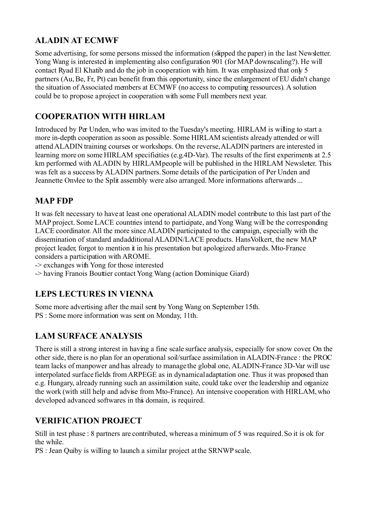## **ALADIN AT ECMWF**

Some advertising, for some persons missed the information (skipped the paper) in the last Newsletter. Yong Wang is interested in implementing also configuration 901 (for MAP downscaling?). He will contact Ryad El Khatib and do the job in cooperation with him. It was emphasized that only 5 partners (Au, Be, Fr, Pt) can benefit from this opportunity, since the enlargement of EU didn't change the situation of Associated members at ECMWF (no access to computing ressources). A solution could be to propose a project in cooperation with some Full members next year.

## **COOPERATION WITH HIRLAM**

Introduced by Per Unden, who was invited to the Tuesday's meeting. HIRLAM is willing to start a more in-depth cooperation as soon as possible. Some HIRLAM scientists already attended or will attend ALADIN training courses or workshops. On the reverse,ALADIN partners are interested in learning more on some HIRLAM specificities (e.g.4D-Var). The results of the first experiments at 2.5 km performed with ALADIN by HIRLAM people will be published in the HIRLAM Newsleter. This was felt as a success by ALADIN partners. Some details of the participation of Per Unden and Jeannette Onvlee to the Split assembly were also arranged. More informations afterwards ...

#### **MAP FDP**

It was felt necessary to have at least one operational ALADIN model contribute to this last part of the MAP project. Some LACE countries intend to participate, and Yong Wang will be the corresponding LACE coordinator. All the more since ALADIN participated to the campaign, especially with the dissemination of standard and additional ALADIN/LACE products. Hans Volkert, the new MAP project leader, forgot to mention it in his presentation but apologized afterwards. Mto-France considers a participation with AROME.

-> exchanges with Yong for those interested

-> having Franois Bouttier contact Yong Wang (action Dominique Giard)

#### **LEPS LECTURES IN VIENNA**

Some more advertising after the mail sent by Yong Wang on September 15th. PS : Some more information was sent on Monday, 11th.

## **LAM SURFACE ANALYSIS**

There is still a strong interest in having a fine scale surface analysis, especially for snow cover. On the other side, there is no plan for an operational soil/surface assimilation in ALADIN-France : the PROC team lacks of manpower and has already to manage the global one, ALADIN-France 3D-Var will use interpolated surface fields fromARPEGE as in dynamical adaptation one. Thus it was proposed than e.g. Hungary, already running such an assimilation suite, could take over the leadership and organize the work (with still help and advise from Mto-France). An intensive cooperation with HIRLAM, who developed advanced softwares in this domain, is required.

#### **VERIFICATION PROJECT**

Still in test phase : 8 partners are contributed, whereas a minimum of 5 was required. So it is ok for the while.

PS : Jean Quiby is willing to launch a similar project at the SRNWP scale.